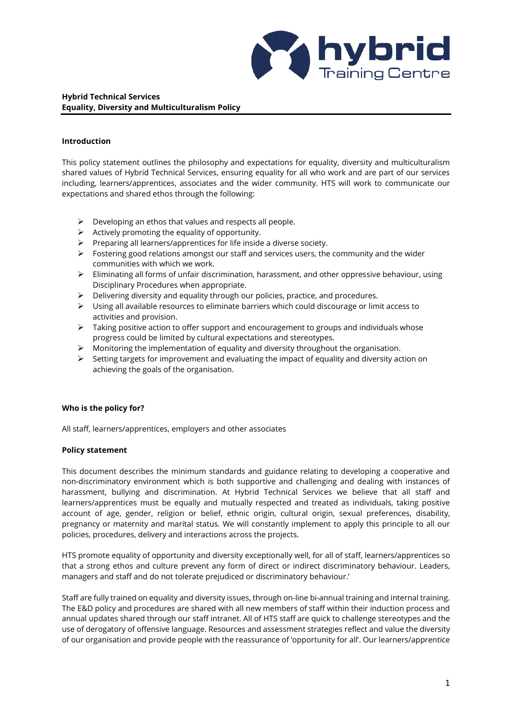

# **Hybrid Technical Services Equality, Diversity and Multiculturalism Policy**

## **Introduction**

This policy statement outlines the philosophy and expectations for equality, diversity and multiculturalism shared values of Hybrid Technical Services, ensuring equality for all who work and are part of our services including, learners/apprentices, associates and the wider community. HTS will work to communicate our expectations and shared ethos through the following:

- $\triangleright$  Developing an ethos that values and respects all people.
- ➢ Actively promoting the equality of opportunity.
- $\triangleright$  Preparing all learners/apprentices for life inside a diverse society.
- $\triangleright$  Fostering good relations amongst our staff and services users, the community and the wider communities with which we work.
- ➢ Eliminating all forms of unfair discrimination, harassment, and other oppressive behaviour, using Disciplinary Procedures when appropriate.
- ➢ Delivering diversity and equality through our policies, practice, and procedures.
- $\triangleright$  Using all available resources to eliminate barriers which could discourage or limit access to activities and provision.
- ➢ Taking positive action to offer support and encouragement to groups and individuals whose progress could be limited by cultural expectations and stereotypes.
- $\triangleright$  Monitoring the implementation of equality and diversity throughout the organisation.
- $\triangleright$  Setting targets for improvement and evaluating the impact of equality and diversity action on achieving the goals of the organisation.

# **Who is the policy for?**

All staff, learners/apprentices, employers and other associates

## **Policy statement**

This document describes the minimum standards and guidance relating to developing a cooperative and non-discriminatory environment which is both supportive and challenging and dealing with instances of harassment, bullying and discrimination. At Hybrid Technical Services we believe that all staff and learners/apprentices must be equally and mutually respected and treated as individuals, taking positive account of age, gender, religion or belief, ethnic origin, cultural origin, sexual preferences, disability, pregnancy or maternity and marital status. We will constantly implement to apply this principle to all our policies, procedures, delivery and interactions across the projects.

HTS promote equality of opportunity and diversity exceptionally well, for all of staff, learners/apprentices so that a strong ethos and culture prevent any form of direct or indirect discriminatory behaviour. Leaders, managers and staff and do not tolerate prejudiced or discriminatory behaviour.'

Staff are fully trained on equality and diversity issues, through on-line bi-annual training and internal training. The E&D policy and procedures are shared with all new members of staff within their induction process and annual updates shared through our staff intranet. All of HTS staff are quick to challenge stereotypes and the use of derogatory of offensive language. Resources and assessment strategies reflect and value the diversity of our organisation and provide people with the reassurance of 'opportunity for all'. Our learners/apprentice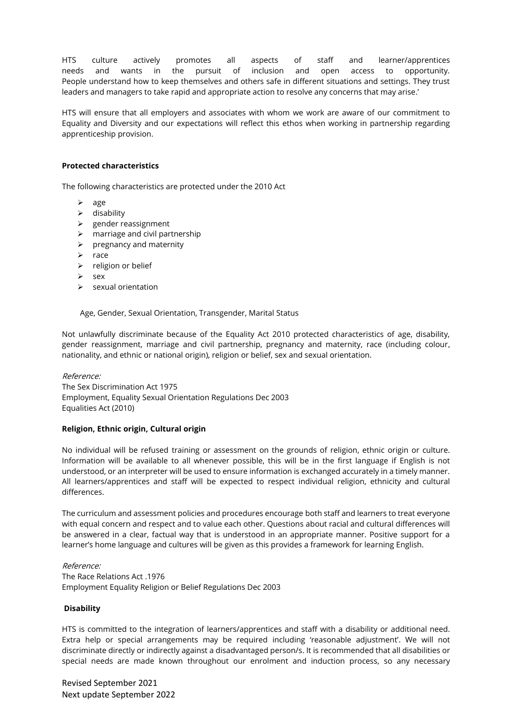HTS culture actively promotes all aspects of staff and learner/apprentices needs and wants in the pursuit of inclusion and open access to opportunity. People understand how to keep themselves and others safe in different situations and settings. They trust leaders and managers to take rapid and appropriate action to resolve any concerns that may arise.'

HTS will ensure that all employers and associates with whom we work are aware of our commitment to Equality and Diversity and our expectations will reflect this ethos when working in partnership regarding apprenticeship provision.

### **Protected characteristics**

The following characteristics are protected under the 2010 Act

- ➢ age
- ➢ disability
- ➢ gender reassignment
- $\triangleright$  marriage and civil partnership
- $\triangleright$  pregnancy and maternity
- ➢ race
- ➢ religion or belief
- ➢ sex
- $\triangleright$  sexual orientation

Age, Gender, Sexual Orientation, Transgender, Marital Status

Not unlawfully discriminate because of the Equality Act 2010 protected characteristics of age, disability, gender reassignment, marriage and civil partnership, pregnancy and maternity, race (including colour, nationality, and ethnic or national origin), religion or belief, sex and sexual orientation.

Reference:

The Sex Discrimination Act 1975 Employment, Equality Sexual Orientation Regulations Dec 2003 Equalities Act (2010)

### **Religion, Ethnic origin, Cultural origin**

No individual will be refused training or assessment on the grounds of religion, ethnic origin or culture. Information will be available to all whenever possible, this will be in the first language if English is not understood, or an interpreter will be used to ensure information is exchanged accurately in a timely manner. All learners/apprentices and staff will be expected to respect individual religion, ethnicity and cultural differences.

The curriculum and assessment policies and procedures encourage both staff and learners to treat everyone with equal concern and respect and to value each other. Questions about racial and cultural differences will be answered in a clear, factual way that is understood in an appropriate manner. Positive support for a learner's home language and cultures will be given as this provides a framework for learning English.

### Reference:

The Race Relations Act .1976 Employment Equality Religion or Belief Regulations Dec 2003

### **Disability**

HTS is committed to the integration of learners/apprentices and staff with a disability or additional need. Extra help or special arrangements may be required including 'reasonable adjustment'. We will not discriminate directly or indirectly against a disadvantaged person/s. It is recommended that all disabilities or special needs are made known throughout our enrolment and induction process, so any necessary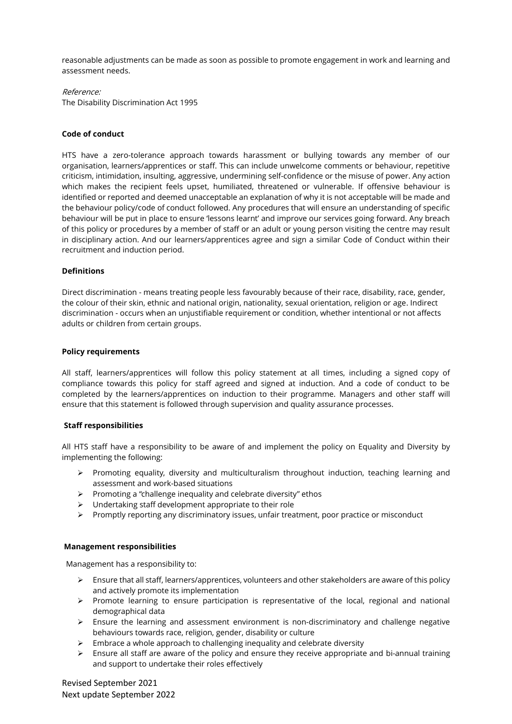reasonable adjustments can be made as soon as possible to promote engagement in work and learning and assessment needs.

# Reference:

The Disability Discrimination Act 1995

## **Code of conduct**

HTS have a zero-tolerance approach towards harassment or bullying towards any member of our organisation, learners/apprentices or staff. This can include unwelcome comments or behaviour, repetitive criticism, intimidation, insulting, aggressive, undermining self-confidence or the misuse of power. Any action which makes the recipient feels upset, humiliated, threatened or vulnerable. If offensive behaviour is identified or reported and deemed unacceptable an explanation of why it is not acceptable will be made and the behaviour policy/code of conduct followed. Any procedures that will ensure an understanding of specific behaviour will be put in place to ensure 'lessons learnt' and improve our services going forward. Any breach of this policy or procedures by a member of staff or an adult or young person visiting the centre may result in disciplinary action. And our learners/apprentices agree and sign a similar Code of Conduct within their recruitment and induction period.

## **Definitions**

Direct discrimination - means treating people less favourably because of their race, disability, race, gender, the colour of their skin, ethnic and national origin, nationality, sexual orientation, religion or age. Indirect discrimination - occurs when an unjustifiable requirement or condition, whether intentional or not affects adults or children from certain groups.

### **Policy requirements**

All staff, learners/apprentices will follow this policy statement at all times, including a signed copy of compliance towards this policy for staff agreed and signed at induction. And a code of conduct to be completed by the learners/apprentices on induction to their programme. Managers and other staff will ensure that this statement is followed through supervision and quality assurance processes.

# **Staff responsibilities**

All HTS staff have a responsibility to be aware of and implement the policy on Equality and Diversity by implementing the following:

- $\triangleright$  Promoting equality, diversity and multiculturalism throughout induction, teaching learning and assessment and work-based situations
- ➢ Promoting a "challenge inequality and celebrate diversity" ethos
- ➢ Undertaking staff development appropriate to their role
- ➢ Promptly reporting any discriminatory issues, unfair treatment, poor practice or misconduct

### **Management responsibilities**

Management has a responsibility to:

- ➢ Ensure that all staff, learners/apprentices, volunteers and other stakeholders are aware of this policy and actively promote its implementation
- ➢ Promote learning to ensure participation is representative of the local, regional and national demographical data
- ➢ Ensure the learning and assessment environment is non-discriminatory and challenge negative behaviours towards race, religion, gender, disability or culture
- ➢ Embrace a whole approach to challenging inequality and celebrate diversity
- ➢ Ensure all staff are aware of the policy and ensure they receive appropriate and bi-annual training and support to undertake their roles effectively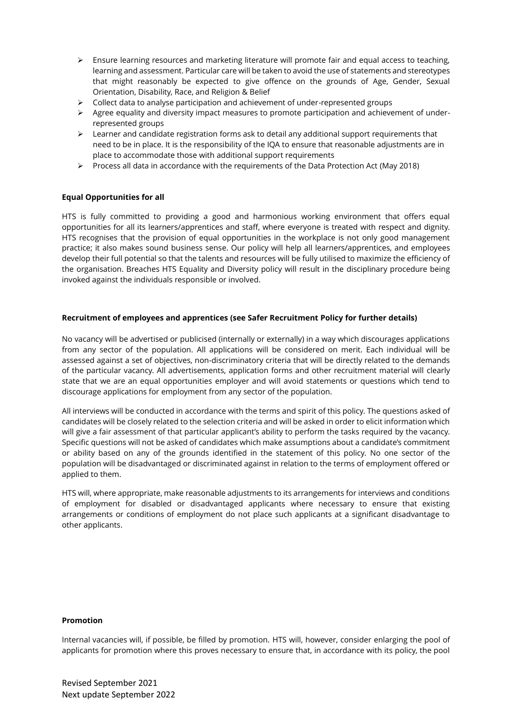- ➢ Ensure learning resources and marketing literature will promote fair and equal access to teaching, learning and assessment. Particular care will be taken to avoid the use of statements and stereotypes that might reasonably be expected to give offence on the grounds of Age, Gender, Sexual Orientation, Disability, Race, and Religion & Belief
- ➢ Collect data to analyse participation and achievement of under-represented groups
- $\triangleright$  Agree equality and diversity impact measures to promote participation and achievement of underrepresented groups
- $\triangleright$  Learner and candidate registration forms ask to detail any additional support requirements that need to be in place. It is the responsibility of the IQA to ensure that reasonable adjustments are in place to accommodate those with additional support requirements
- ➢ Process all data in accordance with the requirements of the Data Protection Act (May 2018)

## **Equal Opportunities for all**

HTS is fully committed to providing a good and harmonious working environment that offers equal opportunities for all its learners/apprentices and staff, where everyone is treated with respect and dignity. HTS recognises that the provision of equal opportunities in the workplace is not only good management practice; it also makes sound business sense. Our policy will help all learners/apprentices, and employees develop their full potential so that the talents and resources will be fully utilised to maximize the efficiency of the organisation. Breaches HTS Equality and Diversity policy will result in the disciplinary procedure being invoked against the individuals responsible or involved.

### **Recruitment of employees and apprentices (see Safer Recruitment Policy for further details)**

No vacancy will be advertised or publicised (internally or externally) in a way which discourages applications from any sector of the population. All applications will be considered on merit. Each individual will be assessed against a set of objectives, non-discriminatory criteria that will be directly related to the demands of the particular vacancy. All advertisements, application forms and other recruitment material will clearly state that we are an equal opportunities employer and will avoid statements or questions which tend to discourage applications for employment from any sector of the population.

All interviews will be conducted in accordance with the terms and spirit of this policy. The questions asked of candidates will be closely related to the selection criteria and will be asked in order to elicit information which will give a fair assessment of that particular applicant's ability to perform the tasks required by the vacancy. Specific questions will not be asked of candidates which make assumptions about a candidate's commitment or ability based on any of the grounds identified in the statement of this policy. No one sector of the population will be disadvantaged or discriminated against in relation to the terms of employment offered or applied to them.

HTS will, where appropriate, make reasonable adjustments to its arrangements for interviews and conditions of employment for disabled or disadvantaged applicants where necessary to ensure that existing arrangements or conditions of employment do not place such applicants at a significant disadvantage to other applicants.

### **Promotion**

Internal vacancies will, if possible, be filled by promotion. HTS will, however, consider enlarging the pool of applicants for promotion where this proves necessary to ensure that, in accordance with its policy, the pool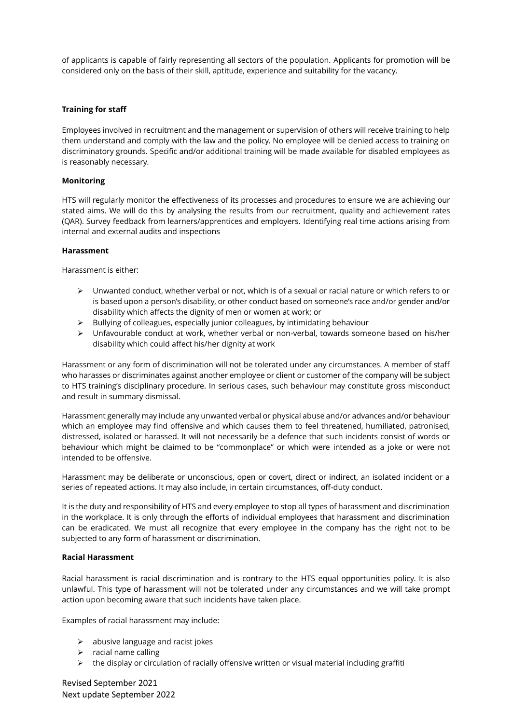of applicants is capable of fairly representing all sectors of the population. Applicants for promotion will be considered only on the basis of their skill, aptitude, experience and suitability for the vacancy.

### **Training for staff**

Employees involved in recruitment and the management or supervision of others will receive training to help them understand and comply with the law and the policy. No employee will be denied access to training on discriminatory grounds. Specific and/or additional training will be made available for disabled employees as is reasonably necessary.

## **Monitoring**

HTS will regularly monitor the effectiveness of its processes and procedures to ensure we are achieving our stated aims. We will do this by analysing the results from our recruitment, quality and achievement rates (QAR). Survey feedback from learners/apprentices and employers. Identifying real time actions arising from internal and external audits and inspections

## **Harassment**

Harassment is either:

- ➢ Unwanted conduct, whether verbal or not, which is of a sexual or racial nature or which refers to or is based upon a person's disability, or other conduct based on someone's race and/or gender and/or disability which affects the dignity of men or women at work; or
- ➢ Bullying of colleagues, especially junior colleagues, by intimidating behaviour
- ➢ Unfavourable conduct at work, whether verbal or non-verbal, towards someone based on his/her disability which could affect his/her dignity at work

Harassment or any form of discrimination will not be tolerated under any circumstances. A member of staff who harasses or discriminates against another employee or client or customer of the company will be subject to HTS training's disciplinary procedure. In serious cases, such behaviour may constitute gross misconduct and result in summary dismissal.

Harassment generally may include any unwanted verbal or physical abuse and/or advances and/or behaviour which an employee may find offensive and which causes them to feel threatened, humiliated, patronised, distressed, isolated or harassed. It will not necessarily be a defence that such incidents consist of words or behaviour which might be claimed to be "commonplace" or which were intended as a joke or were not intended to be offensive.

Harassment may be deliberate or unconscious, open or covert, direct or indirect, an isolated incident or a series of repeated actions. It may also include, in certain circumstances, off-duty conduct.

It is the duty and responsibility of HTS and every employee to stop all types of harassment and discrimination in the workplace. It is only through the efforts of individual employees that harassment and discrimination can be eradicated. We must all recognize that every employee in the company has the right not to be subjected to any form of harassment or discrimination.

# **Racial Harassment**

Racial harassment is racial discrimination and is contrary to the HTS equal opportunities policy. It is also unlawful. This type of harassment will not be tolerated under any circumstances and we will take prompt action upon becoming aware that such incidents have taken place.

Examples of racial harassment may include:

- $\triangleright$  abusive language and racist jokes
- ➢ racial name calling
- $\triangleright$  the display or circulation of racially offensive written or visual material including graffiti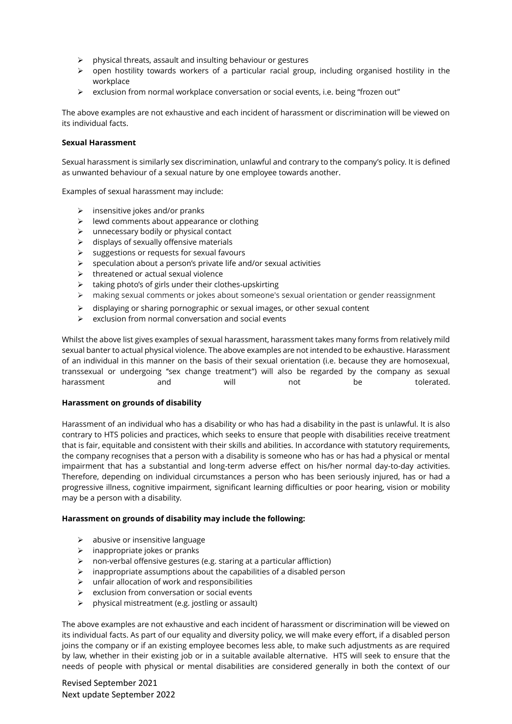- ➢ physical threats, assault and insulting behaviour or gestures
- ➢ open hostility towards workers of a particular racial group, including organised hostility in the workplace
- ➢ exclusion from normal workplace conversation or social events, i.e. being "frozen out"

The above examples are not exhaustive and each incident of harassment or discrimination will be viewed on its individual facts.

### **Sexual Harassment**

Sexual harassment is similarly sex discrimination, unlawful and contrary to the company's policy. It is defined as unwanted behaviour of a sexual nature by one employee towards another.

Examples of sexual harassment may include:

- $\triangleright$  insensitive jokes and/or pranks
- ➢ lewd comments about appearance or clothing
- ➢ unnecessary bodily or physical contact
- $\triangleright$  displays of sexually offensive materials
- ➢ suggestions or requests for sexual favours
- $\triangleright$  speculation about a person's private life and/or sexual activities
- $\triangleright$  threatened or actual sexual violence
- ➢ taking photo's of girls under their clothes-upskirting
- ➢ making sexual comments or jokes about someone's sexual orientation or gender reassignment
- ➢ displaying or sharing pornographic or sexual images, or other sexual content
- ➢ exclusion from normal conversation and social events

Whilst the above list gives examples of sexual harassment, harassment takes many forms from relatively mild sexual banter to actual physical violence. The above examples are not intended to be exhaustive. Harassment of an individual in this manner on the basis of their sexual orientation (i.e. because they are homosexual, transsexual or undergoing "sex change treatment") will also be regarded by the company as sexual harassment and will not be tolerated.

### **Harassment on grounds of disability**

Harassment of an individual who has a disability or who has had a disability in the past is unlawful. It is also contrary to HTS policies and practices, which seeks to ensure that people with disabilities receive treatment that is fair, equitable and consistent with their skills and abilities. In accordance with statutory requirements, the company recognises that a person with a disability is someone who has or has had a physical or mental impairment that has a substantial and long-term adverse effect on his/her normal day-to-day activities. Therefore, depending on individual circumstances a person who has been seriously injured, has or had a progressive illness, cognitive impairment, significant learning difficulties or poor hearing, vision or mobility may be a person with a disability.

### **Harassment on grounds of disability may include the following:**

- ➢ abusive or insensitive language
- $\triangleright$  inappropriate jokes or pranks
- ➢ non-verbal offensive gestures (e.g. staring at a particular affliction)
- $\triangleright$  inappropriate assumptions about the capabilities of a disabled person
- $\triangleright$  unfair allocation of work and responsibilities
- ➢ exclusion from conversation or social events
- $\triangleright$  physical mistreatment (e.g. jostling or assault)

The above examples are not exhaustive and each incident of harassment or discrimination will be viewed on its individual facts. As part of our equality and diversity policy, we will make every effort, if a disabled person joins the company or if an existing employee becomes less able, to make such adjustments as are required by law, whether in their existing job or in a suitable available alternative. HTS will seek to ensure that the needs of people with physical or mental disabilities are considered generally in both the context of our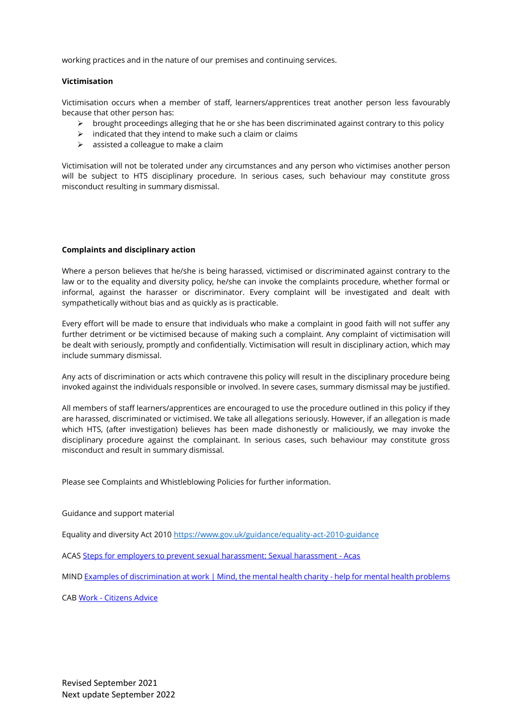working practices and in the nature of our premises and continuing services.

### **Victimisation**

Victimisation occurs when a member of staff, learners/apprentices treat another person less favourably because that other person has:

- ➢ brought proceedings alleging that he or she has been discriminated against contrary to this policy
- $\triangleright$  indicated that they intend to make such a claim or claims
- $\triangleright$  assisted a colleague to make a claim

Victimisation will not be tolerated under any circumstances and any person who victimises another person will be subject to HTS disciplinary procedure. In serious cases, such behaviour may constitute gross misconduct resulting in summary dismissal.

### **Complaints and disciplinary action**

Where a person believes that he/she is being harassed, victimised or discriminated against contrary to the law or to the equality and diversity policy, he/she can invoke the complaints procedure, whether formal or informal, against the harasser or discriminator. Every complaint will be investigated and dealt with sympathetically without bias and as quickly as is practicable.

Every effort will be made to ensure that individuals who make a complaint in good faith will not suffer any further detriment or be victimised because of making such a complaint. Any complaint of victimisation will be dealt with seriously, promptly and confidentially. Victimisation will result in disciplinary action, which may include summary dismissal.

Any acts of discrimination or acts which contravene this policy will result in the disciplinary procedure being invoked against the individuals responsible or involved. In severe cases, summary dismissal may be justified.

All members of staff learners/apprentices are encouraged to use the procedure outlined in this policy if they are harassed, discriminated or victimised. We take all allegations seriously. However, if an allegation is made which HTS, (after investigation) believes has been made dishonestly or maliciously, we may invoke the disciplinary procedure against the complainant. In serious cases, such behaviour may constitute gross misconduct and result in summary dismissal.

Please see Complaints and Whistleblowing Policies for further information.

Guidance and support material

Equality and diversity Act 2010<https://www.gov.uk/guidance/equality-act-2010-guidance>

ACA[S Steps for employers to prevent sexual harassment: Sexual harassment -](https://www.acas.org.uk/sexual-harassment/steps-for-employers-to-prevent-sexual-harassment) Acas

MIN[D Examples of discrimination at work | Mind, the mental health charity -](https://www.mind.org.uk/information-support/legal-rights/discrimination-at-work/examples-of-discrimination-at-work/#ExampleOfVictimisationAtWork) help for mental health problems

CAB Work - [Citizens Advice](https://www.citizensadvice.org.uk/work/)